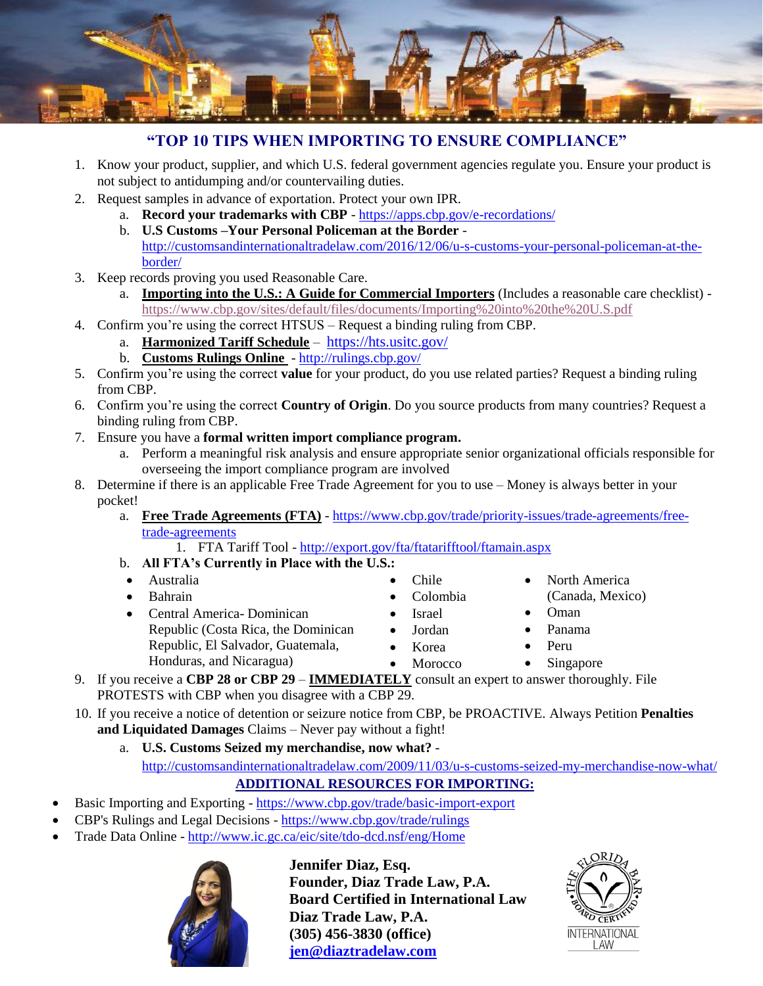

## **"TOP 10 TIPS WHEN IMPORTING TO ENSURE COMPLIANCE"**

- 1. Know your product, supplier, and which U.S. federal government agencies regulate you. Ensure your product is not subject to antidumping and/or countervailing duties.
- 2. Request samples in advance of exportation. Protect your own IPR.
	- a. **Record your trademarks with CBP** <https://apps.cbp.gov/e-recordations/>
	- b. **U.S Customs –Your Personal Policeman at the Border** [http://customsandinternationaltradelaw.com/2016/12/06/u-s-customs-your-personal-policeman-at-the](http://customsandinternationaltradelaw.com/2016/12/06/u-s-customs-your-personal-policeman-at-the-border/)[border/](http://customsandinternationaltradelaw.com/2016/12/06/u-s-customs-your-personal-policeman-at-the-border/)
- 3. Keep records proving you used Reasonable Care.
	- a. **Importing into the U.S.: A Guide for Commercial Importers** (Includes a reasonable care checklist) <https://www.cbp.gov/sites/default/files/documents/Importing%20into%20the%20U.S.pdf>
- 4. Confirm you're using the correct HTSUS Request a binding ruling from CBP.
	- a. **Harmonized Tariff Schedule** <https://hts.usitc.gov/>
	- b. **Customs Rulings Online** <http://rulings.cbp.gov/>
- 5. Confirm you're using the correct **value** for your product, do you use related parties? Request a binding ruling from CBP.
- 6. Confirm you're using the correct **Country of Origin**. Do you source products from many countries? Request a binding ruling from CBP.
- 7. Ensure you have a **formal written import compliance program.**
	- a. Perform a meaningful risk analysis and ensure appropriate senior organizational officials responsible for overseeing the import compliance program are involved
- 8. Determine if there is an applicable Free Trade Agreement for you to use Money is always better in your pocket!
	- a. **Free Trade Agreements (FTA)** [https://www.cbp.gov/trade/priority-issues/trade-agreements/free](https://www.cbp.gov/trade/priority-issues/trade-agreements/free-trade-agreements)[trade-agreements](https://www.cbp.gov/trade/priority-issues/trade-agreements/free-trade-agreements)

1. FTA Tariff Tool - <http://export.gov/fta/ftatarifftool/ftamain.aspx>

- b. **All FTA's Currently in Place with the U.S.:**
- Australia
- Bahrain
- Central America- Dominican Republic (Costa Rica, the Dominican Republic, El Salvador, Guatemala, Honduras, and Nicaragua)
- Chile
- Colombia
- Israel
- Jordan
- Korea
- Peru

• Oman • Panama

Singapore

• North America (Canada, Mexico)

- 9. If you receive a **CBP 28 or CBP 29 IMMEDIATELY** consult an expert to answer thoroughly. File PROTESTS with CBP when you disagree with a CBP 29.
- 10. If you receive a notice of detention or seizure notice from CBP, be PROACTIVE. Always Petition **Penalties and Liquidated Damages** Claims – Never pay without a fight!
	- a. **U.S. Customs Seized my merchandise, now what?**  <http://customsandinternationaltradelaw.com/2009/11/03/u-s-customs-seized-my-merchandise-now-what/> **ADDITIONAL RESOURCES FOR IMPORTING:**
- Basic Importing and Exporting https://www.cbp.gov/trade/basic-import-export
- CBP's Rulings and Legal Decisions https://www.cbp.gov/trade/rulings
- Trade Data Online <http://www.ic.gc.ca/eic/site/tdo-dcd.nsf/eng/Home>



**Jennifer Diaz, Esq. Founder, Diaz Trade Law, P.A. Board Certified in International Law Diaz Trade Law, P.A. (305) 456-3830 (office) [jen@diaztradelaw.com](mailto:jdiaz@bplegal.com)**



- 
- **Morocco**
- 
- 
-